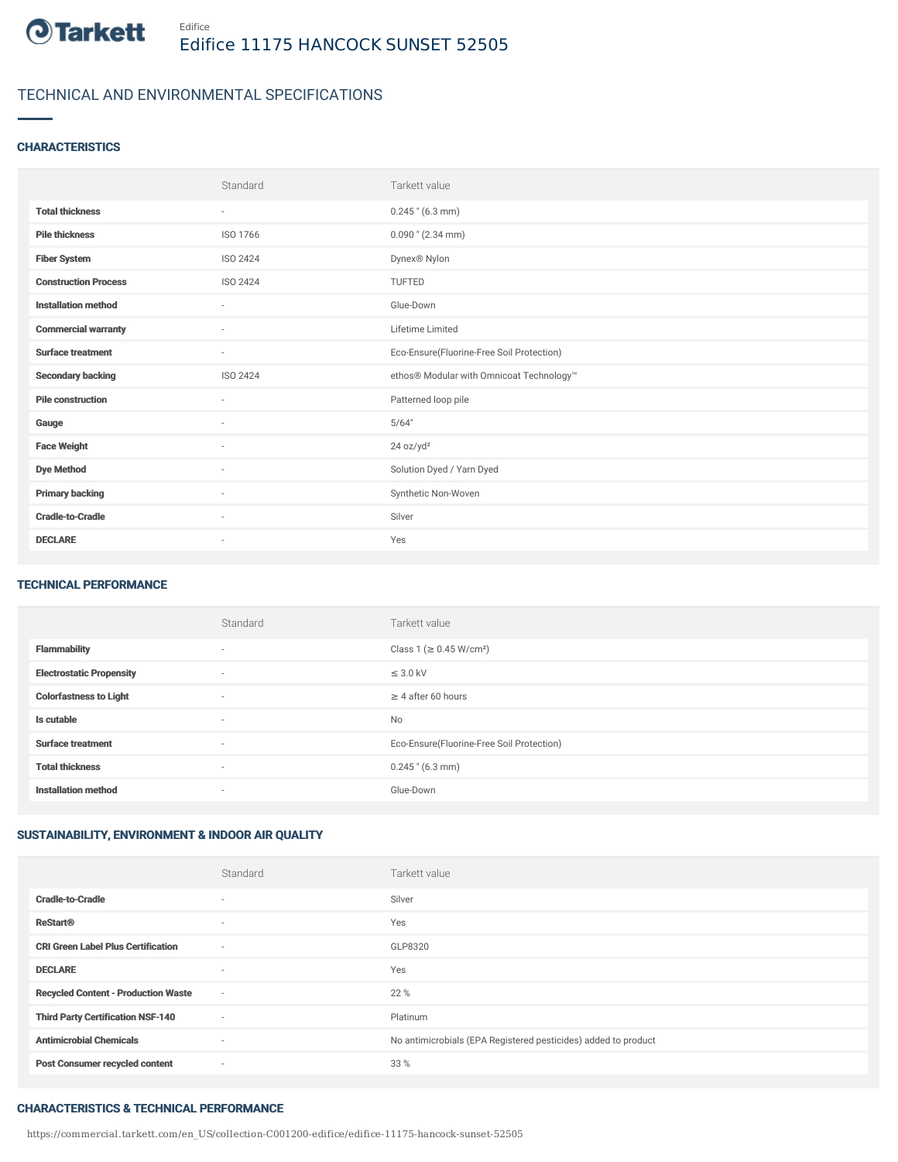

## TECHNICAL AND ENVIRONMENTAL SPECIFICATIONS

### **CHARACTERISTICS**

|                             | Standard | Tarkett value                             |
|-----------------------------|----------|-------------------------------------------|
| <b>Total thickness</b>      | $\sim$   | $0.245$ " (6.3 mm)                        |
| <b>Pile thickness</b>       | ISO 1766 | $0.090$ " (2.34 mm)                       |
| <b>Fiber System</b>         | ISO 2424 | Dynex® Nylon                              |
| <b>Construction Process</b> | ISO 2424 | <b>TUFTED</b>                             |
| <b>Installation method</b>  | $\sim$   | Glue-Down                                 |
| <b>Commercial warranty</b>  | $\sim$   | Lifetime Limited                          |
| <b>Surface treatment</b>    | $\sim$   | Eco-Ensure(Fluorine-Free Soil Protection) |
| <b>Secondary backing</b>    | ISO 2424 | ethos® Modular with Omnicoat Technology™  |
| <b>Pile construction</b>    | $\sim$   | Patterned loop pile                       |
| Gauge                       | ×        | 5/64"                                     |
| <b>Face Weight</b>          | ٠        | 24 oz/yd <sup>2</sup>                     |
| <b>Dye Method</b>           | $\sim$   | Solution Dyed / Yarn Dyed                 |
| <b>Primary backing</b>      | $\sim$   | Synthetic Non-Woven                       |
| <b>Cradle-to-Cradle</b>     | ×        | Silver                                    |
| <b>DECLARE</b>              | $\sim$   | Yes                                       |

#### TECHNICAL PERFORMANCE

|                                 | Standard                 | Tarkett value                             |
|---------------------------------|--------------------------|-------------------------------------------|
| <b>Flammability</b>             | $\overline{\phantom{a}}$ | Class 1 (≥ 0.45 W/cm <sup>2</sup> )       |
| <b>Electrostatic Propensity</b> | $\overline{\phantom{a}}$ | $\leq$ 3.0 kV                             |
| <b>Colorfastness to Light</b>   | $\overline{\phantom{a}}$ | $\geq 4$ after 60 hours                   |
| Is cutable                      | $\sim$                   | <b>No</b>                                 |
| <b>Surface treatment</b>        | $\overline{\phantom{a}}$ | Eco-Ensure(Fluorine-Free Soil Protection) |
| <b>Total thickness</b>          | $\overline{\phantom{a}}$ | $0.245$ " (6.3 mm)                        |
| <b>Installation method</b>      | $\overline{\phantom{a}}$ | Glue-Down                                 |

## SUSTAINABILITY, ENVIRONMENT & INDOOR AIR QUALITY

|                                            | Standard                 | Tarkett value                                                  |
|--------------------------------------------|--------------------------|----------------------------------------------------------------|
| <b>Cradle-to-Cradle</b>                    | $\overline{\phantom{a}}$ | Silver                                                         |
| <b>ReStart®</b>                            | $\overline{\phantom{a}}$ | Yes                                                            |
| <b>CRI Green Label Plus Certification</b>  | $\sim$                   | GLP8320                                                        |
| <b>DECLARE</b>                             | $\overline{\phantom{a}}$ | Yes                                                            |
| <b>Recycled Content - Production Waste</b> | $\sim$                   | 22 %                                                           |
| <b>Third Party Certification NSF-140</b>   | $\sim$                   | Platinum                                                       |
| <b>Antimicrobial Chemicals</b>             | $\sim$                   | No antimicrobials (EPA Registered pesticides) added to product |
| <b>Post Consumer recycled content</b>      | $\sim$                   | 33 %                                                           |

#### CHARACTERISTICS & TECHNICAL PERFORMANCE